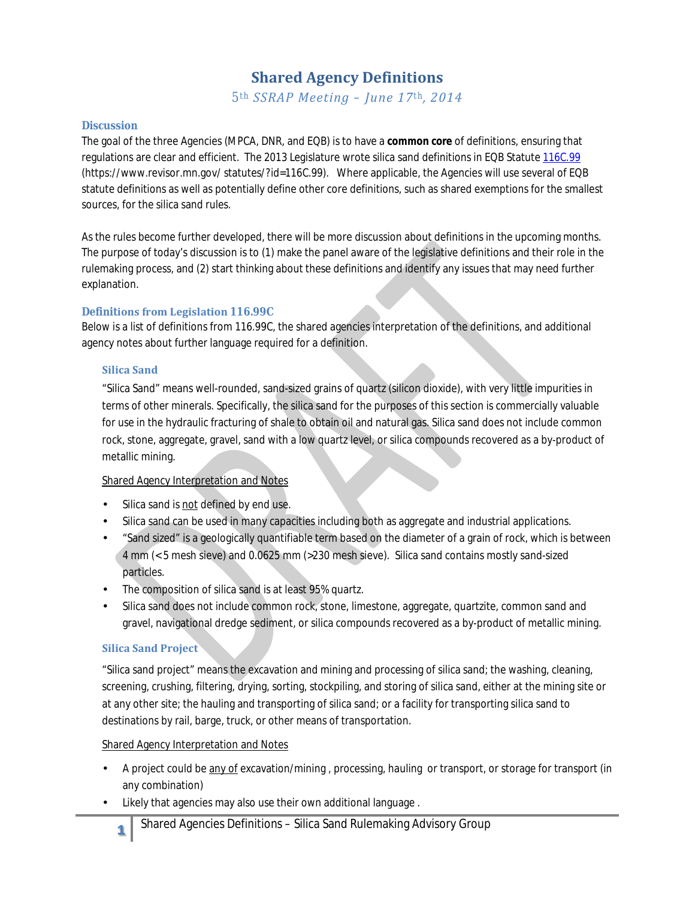# **Shared Agency Definitions**

*5th SSRAP Meeting – June 17th, 2014*

### **Discussion**

The goal of the three Agencies (MPCA, DNR, and EQB) is to have a **common core** of definitions, ensuring that regulations are clear and efficient. The 2013 Legislature wrote silica sand definitions in EQB Statut[e 116C.99](https://www.revisor.mn.gov/statutes/?id=116C.99) (https://www.revisor.mn.gov/ statutes/?id=116C.99). Where applicable, the Agencies will use several of EQB statute definitions as well as potentially define other core definitions, such as shared exemptions for the smallest sources, for the silica sand rules.

As the rules become further developed, there will be more discussion about definitions in the upcoming months. The purpose of today's discussion is to (1) make the panel aware of the legislative definitions and their role in the rulemaking process, and (2) start thinking about these definitions and identify any issues that may need further explanation.

### **Definitions from Legislation 116.99C**

Below is a list of definitions from 116.99C, the shared agencies interpretation of the definitions, and additional agency notes about further language required for a definition.

### **Silica Sand**

"Silica Sand" means well-rounded, sand-sized grains of quartz (silicon dioxide), with very little impurities in terms of other minerals. Specifically, the silica sand for the purposes of this section is commercially valuable for use in the hydraulic fracturing of shale to obtain oil and natural gas. Silica sand does not include common rock, stone, aggregate, gravel, sand with a low quartz level, or silica compounds recovered as a by-product of metallic mining.

# **Shared Agency Interpretation and Notes**

- Silica sand is not defined by end use.
- Silica sand can be used in many capacities including both as aggregate and industrial applications.
- "Sand sized" is a geologically quantifiable term based on the diameter of a grain of rock, which is between 4 mm (< 5 mesh sieve) and 0.0625 mm (>230 mesh sieve). Silica sand contains mostly sand-sized particles.
- The composition of silica sand is at least 95% quartz.
- Silica sand does not include common rock, stone, limestone, aggregate, quartzite, common sand and ä, gravel, navigational dredge sediment, or silica compounds recovered as a by-product of metallic mining.

# **Silica Sand Project**

"Silica sand project" means the excavation and mining and processing of silica sand; the washing, cleaning, screening, crushing, filtering, drying, sorting, stockpiling, and storing of silica sand, either at the mining site or at any other site; the hauling and transporting of silica sand; or a facility for transporting silica sand to destinations by rail, barge, truck, or other means of transportation.

### Shared Agency Interpretation and Notes

- A project could be any of excavation/mining , processing, hauling or transport, or storage for transport (in any combination)
- Likely that agencies may also use their own additional language .